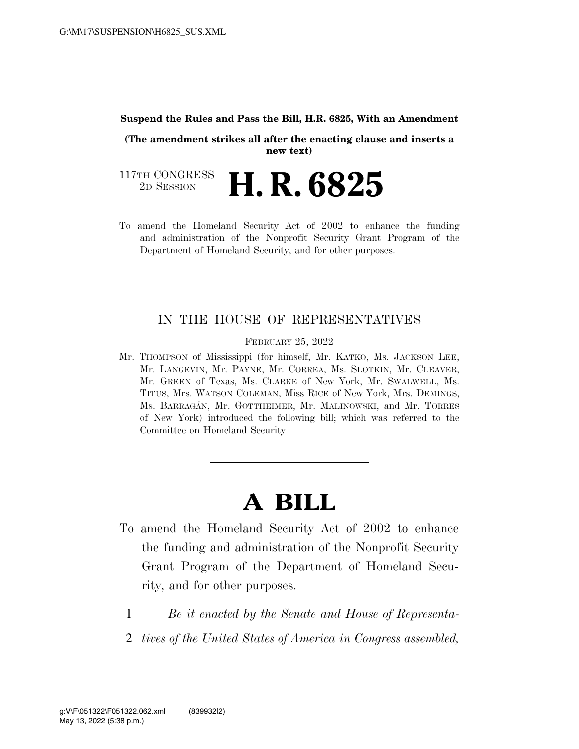#### **Suspend the Rules and Pass the Bill, H.R. 6825, With an Amendment**

**(The amendment strikes all after the enacting clause and inserts a new text)** 

117TH CONGRESS<br>2D SESSION 2D SESSION **H. R. 6825** 

To amend the Homeland Security Act of 2002 to enhance the funding and administration of the Nonprofit Security Grant Program of the Department of Homeland Security, and for other purposes.

### IN THE HOUSE OF REPRESENTATIVES

FEBRUARY 25, 2022

Mr. THOMPSON of Mississippi (for himself, Mr. KATKO, Ms. JACKSON LEE, Mr. LANGEVIN, Mr. PAYNE, Mr. CORREA, Ms. SLOTKIN, Mr. CLEAVER, Mr. GREEN of Texas, Ms. CLARKE of New York, Mr. SWALWELL, Ms. TITUS, Mrs. WATSON COLEMAN, Miss RICE of New York, Mrs. DEMINGS, Ms. BARRAGA´N, Mr. GOTTHEIMER, Mr. MALINOWSKI, and Mr. TORRES of New York) introduced the following bill; which was referred to the Committee on Homeland Security

# **A BILL**

- To amend the Homeland Security Act of 2002 to enhance the funding and administration of the Nonprofit Security Grant Program of the Department of Homeland Security, and for other purposes.
	- 1 *Be it enacted by the Senate and House of Representa-*
	- 2 *tives of the United States of America in Congress assembled,*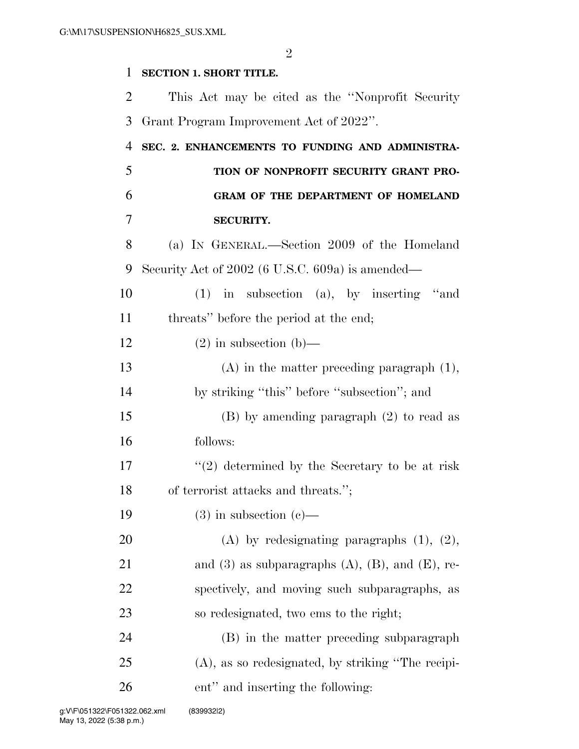$\mathfrak{D}$ 

#### **SECTION 1. SHORT TITLE.**

 This Act may be cited as the ''Nonprofit Security Grant Program Improvement Act of 2022''.

## **SEC. 2. ENHANCEMENTS TO FUNDING AND ADMINISTRA- TION OF NONPROFIT SECURITY GRANT PRO- GRAM OF THE DEPARTMENT OF HOMELAND SECURITY.**

 (a) IN GENERAL.—Section 2009 of the Homeland Security Act of 2002 (6 U.S.C. 609a) is amended—

 (1) in subsection (a), by inserting ''and threats'' before the period at the end;

### 12 (2) in subsection (b)— (A) in the matter preceding paragraph (1),

14 by striking "this" before "subsection"; and

 (B) by amending paragraph (2) to read as follows:

 $\frac{17}{2}$  ''(2) determined by the Secretary to be at risk of terrorist attacks and threats.'';

19  $(3)$  in subsection  $(c)$ —

 (A) by redesignating paragraphs (1), (2), 21 and (3) as subparagraphs  $(A)$ ,  $(B)$ , and  $(E)$ , re- spectively, and moving such subparagraphs, as so redesignated, two ems to the right;

 (B) in the matter preceding subparagraph (A), as so redesignated, by striking ''The recipi-ent'' and inserting the following: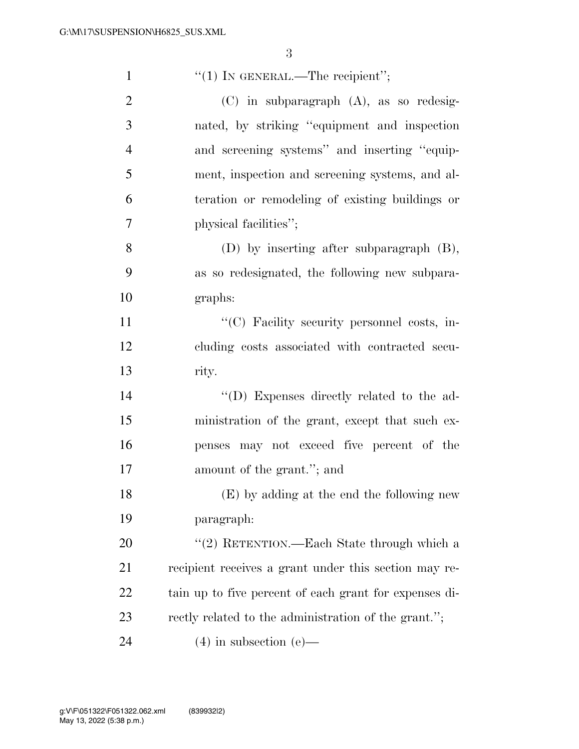| $\mathbf{1}$   | "(1) IN GENERAL.—The recipient";                       |
|----------------|--------------------------------------------------------|
| $\overline{2}$ | (C) in subparagraph (A), as so redesig-                |
| 3              | nated, by striking "equipment and inspection           |
| $\overline{4}$ | and screening systems" and inserting "equip-           |
| 5              | ment, inspection and screening systems, and al-        |
| 6              | teration or remodeling of existing buildings or        |
| 7              | physical facilities";                                  |
| 8              | $(D)$ by inserting after subparagraph $(B)$ ,          |
| 9              | as so redesignated, the following new subpara-         |
| 10             | graphs:                                                |
| 11             | "(C) Facility security personnel costs, in-            |
| 12             | cluding costs associated with contracted secu-         |
| 13             | rity.                                                  |
| 14             | "(D) Expenses directly related to the ad-              |
| 15             | ministration of the grant, except that such ex-        |
| 16             | penses may not exceed five percent of the              |
| 17             | amount of the grant."; and                             |
| 18             | (E) by adding at the end the following new             |
| 19             | paragraph:                                             |
| 20             | "(2) RETENTION.—Each State through which a             |
| 21             | recipient receives a grant under this section may re-  |
| <u>22</u>      | tain up to five percent of each grant for expenses di- |
| 23             | rectly related to the administration of the grant.";   |
| 24             | $(4)$ in subsection (e)—                               |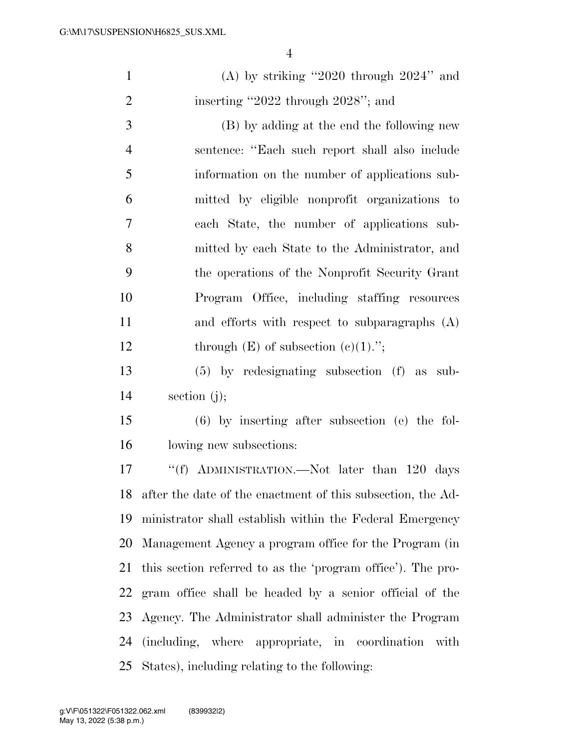|                | $\overline{4}$                                              |
|----------------|-------------------------------------------------------------|
| $\mathbf{1}$   | (A) by striking "2020 through $2024$ " and                  |
| $\overline{2}$ | inserting "2022 through 2028"; and                          |
| 3              | (B) by adding at the end the following new                  |
| $\overline{4}$ | sentence: "Each such report shall also include              |
| 5              | information on the number of applications sub-              |
| 6              | mitted by eligible nonprofit organizations to               |
| $\tau$         | each State, the number of applications sub-                 |
| 8              | mitted by each State to the Administrator, and              |
| 9              | the operations of the Nonprofit Security Grant              |
| 10             | Program Office, including staffing resources                |
| 11             | and efforts with respect to subparagraphs $(A)$             |
| 12             | through $(E)$ of subsection $(e)(1)$ .";                    |
| 13             | $(5)$ by redesignating subsection $(f)$ as<br>sub-          |
| 14             | section $(j)$ ;                                             |
| 15             | $(6)$ by inserting after subsection (e) the fol-            |
| 16             | lowing new subsections:                                     |
| 17             | "(f) ADMINISTRATION.—Not later than 120 days                |
| 18             | after the date of the enactment of this subsection, the Ad- |
| 19             | ministrator shall establish within the Federal Emergency    |
| 20             | Management Agency a program office for the Program (in      |
| 21             | this section referred to as the 'program office'). The pro- |
| 22             | gram office shall be headed by a senior official of the     |

 Agency. The Administrator shall administer the Program (including, where appropriate, in coordination with States), including relating to the following: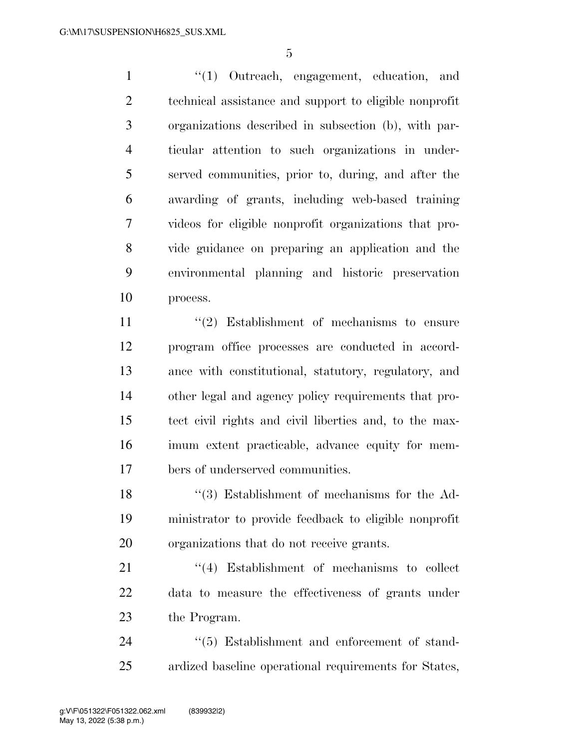''(1) Outreach, engagement, education, and technical assistance and support to eligible nonprofit organizations described in subsection (b), with par- ticular attention to such organizations in under- served communities, prior to, during, and after the awarding of grants, including web-based training videos for eligible nonprofit organizations that pro- vide guidance on preparing an application and the environmental planning and historic preservation process.

11 ''(2) Establishment of mechanisms to ensure program office processes are conducted in accord- ance with constitutional, statutory, regulatory, and other legal and agency policy requirements that pro- tect civil rights and civil liberties and, to the max- imum extent practicable, advance equity for mem-bers of underserved communities.

 ''(3) Establishment of mechanisms for the Ad- ministrator to provide feedback to eligible nonprofit organizations that do not receive grants.

21 ''(4) Establishment of mechanisms to collect data to measure the effectiveness of grants under the Program.

24  $(5)$  Establishment and enforcement of stand-ardized baseline operational requirements for States,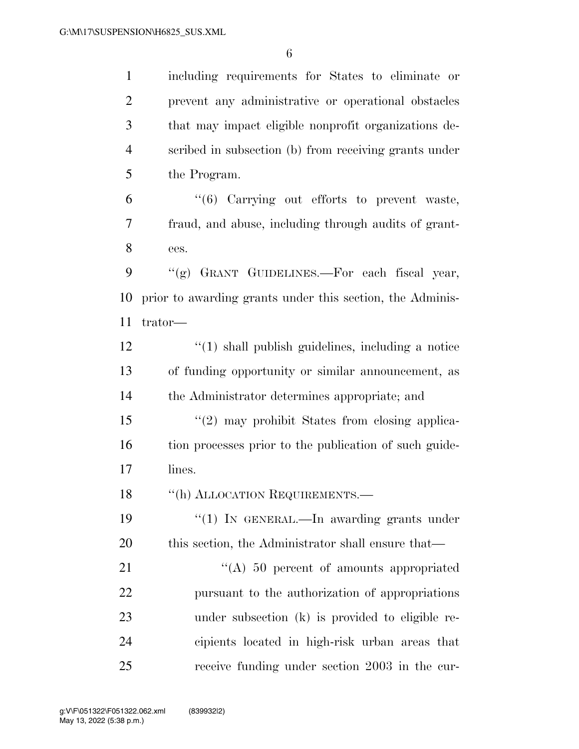including requirements for States to eliminate or prevent any administrative or operational obstacles that may impact eligible nonprofit organizations de- scribed in subsection (b) from receiving grants under the Program.

 "(6) Carrying out efforts to prevent waste, fraud, and abuse, including through audits of grant-ees.

9  $\langle \langle \text{g} \rangle$  GRANT GUIDELINES.—For each fiscal year, prior to awarding grants under this section, the Adminis-trator—

 ''(1) shall publish guidelines, including a notice of funding opportunity or similar announcement, as the Administrator determines appropriate; and

 ''(2) may prohibit States from closing applica- tion processes prior to the publication of such guide-lines.

18 "(h) ALLOCATION REQUIREMENTS.—

19 "(1) IN GENERAL.—In awarding grants under 20 this section, the Administrator shall ensure that—

21 ''(A) 50 percent of amounts appropriated pursuant to the authorization of appropriations under subsection (k) is provided to eligible re- cipients located in high-risk urban areas that receive funding under section 2003 in the cur-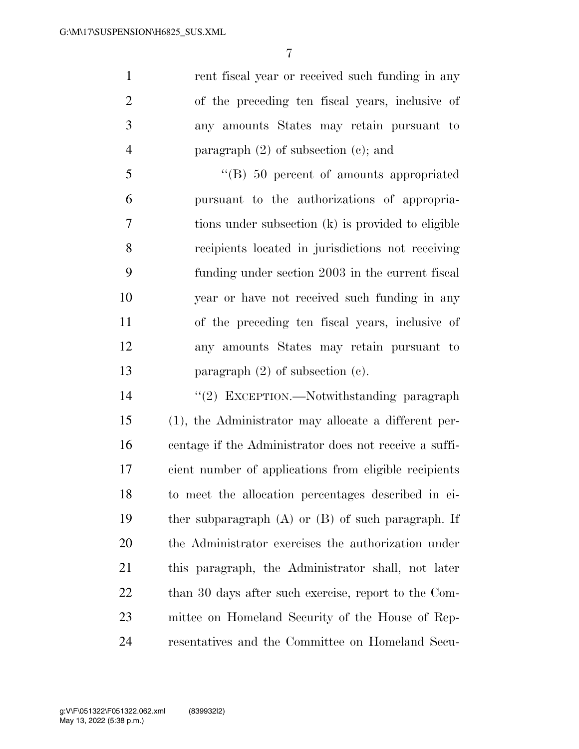1 rent fiscal year or received such funding in any of the preceding ten fiscal years, inclusive of any amounts States may retain pursuant to paragraph (2) of subsection (c); and

 ''(B) 50 percent of amounts appropriated pursuant to the authorizations of appropria- tions under subsection (k) is provided to eligible recipients located in jurisdictions not receiving funding under section 2003 in the current fiscal year or have not received such funding in any of the preceding ten fiscal years, inclusive of any amounts States may retain pursuant to 13 paragraph (2) of subsection (c).

 ''(2) EXCEPTION.—Notwithstanding paragraph (1), the Administrator may allocate a different per- centage if the Administrator does not receive a suffi- cient number of applications from eligible recipients to meet the allocation percentages described in ei- ther subparagraph (A) or (B) of such paragraph. If the Administrator exercises the authorization under this paragraph, the Administrator shall, not later 22 than 30 days after such exercise, report to the Com- mittee on Homeland Security of the House of Rep-resentatives and the Committee on Homeland Secu-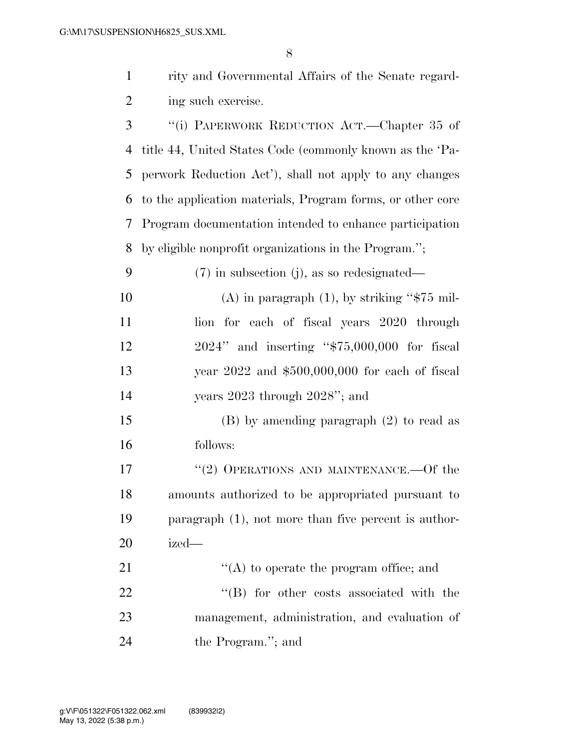|              | rity and Governmental Affairs of the Senate regard-        |
|--------------|------------------------------------------------------------|
| 2            | ing such exercise.                                         |
| $\mathbf{3}$ | "(i) PAPERWORK REDUCTION ACT.—Chapter 35 of                |
|              | 4 title 44, United States Code (commonly known as the 'Pa- |
|              | 5 perwork Reduction Act'), shall not apply to any changes  |

 to the application materials, Program forms, or other core Program documentation intended to enhance participation by eligible nonprofit organizations in the Program.'';

| 9  | $(7)$ in subsection (j), as so redesignated—      |
|----|---------------------------------------------------|
| 10 | (A) in paragraph $(1)$ , by striking "\$75 mil-   |
| 11 | lion for each of fiscal years 2020 through        |
| 12 | $2024$ " and inserting " $$75,000,000$ for fiscal |
| 13 | year $2022$ and $$500,000,000$ for each of fiscal |
| 14 | years $2023$ through $2028$ "; and                |
| 15 | $(B)$ by amending paragraph $(2)$ to read as      |
| 16 | follows:                                          |
| 17 | "(2) OPERATIONS AND MAINTENANCE.—Of the           |
|    |                                                   |

 amounts authorized to be appropriated pursuant to paragraph (1), not more than five percent is author-ized—

21 ''(A) to operate the program office; and 22 ''(B) for other costs associated with the management, administration, and evaluation of the Program.''; and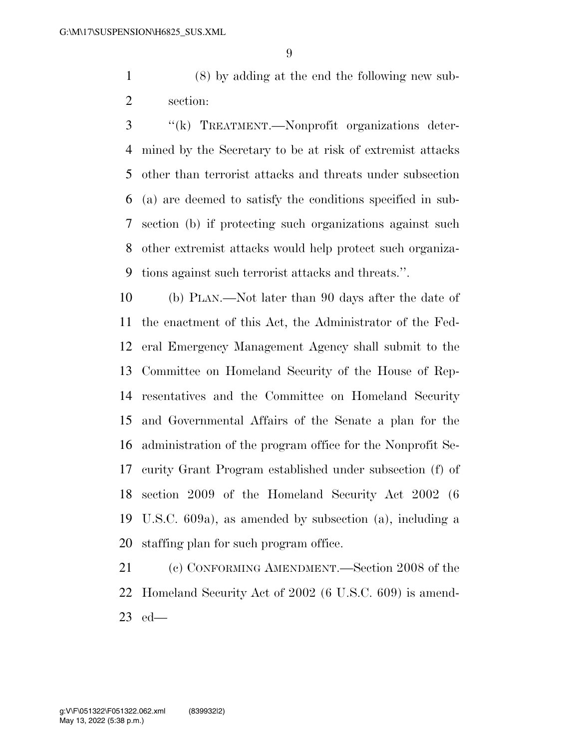(8) by adding at the end the following new sub-section:

 ''(k) TREATMENT.—Nonprofit organizations deter- mined by the Secretary to be at risk of extremist attacks other than terrorist attacks and threats under subsection (a) are deemed to satisfy the conditions specified in sub- section (b) if protecting such organizations against such other extremist attacks would help protect such organiza-tions against such terrorist attacks and threats.''.

 (b) PLAN.—Not later than 90 days after the date of the enactment of this Act, the Administrator of the Fed- eral Emergency Management Agency shall submit to the Committee on Homeland Security of the House of Rep- resentatives and the Committee on Homeland Security and Governmental Affairs of the Senate a plan for the administration of the program office for the Nonprofit Se- curity Grant Program established under subsection (f) of section 2009 of the Homeland Security Act 2002 (6 U.S.C. 609a), as amended by subsection (a), including a staffing plan for such program office.

 (c) CONFORMING AMENDMENT.—Section 2008 of the Homeland Security Act of 2002 (6 U.S.C. 609) is amend-ed—